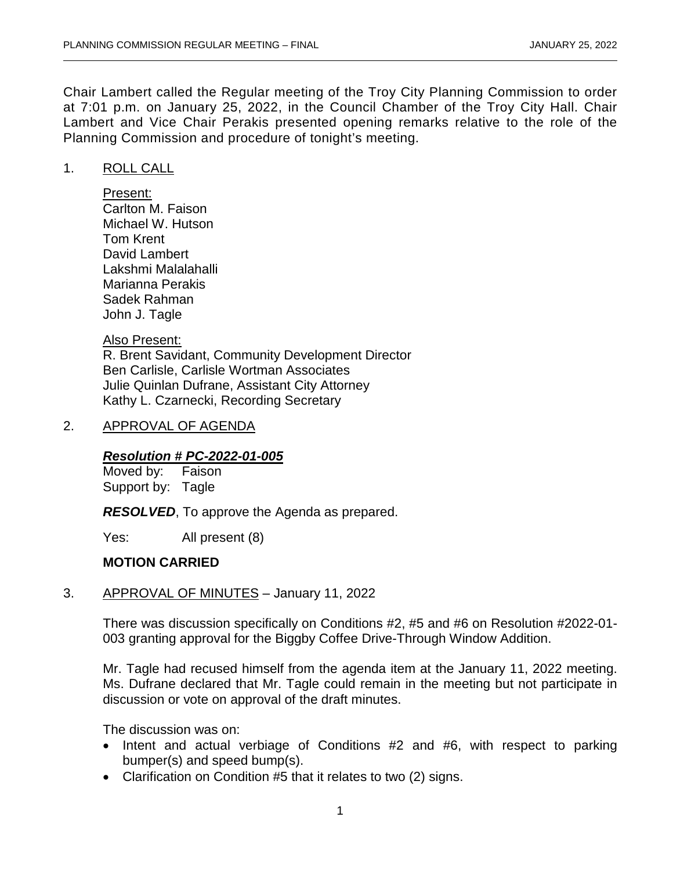Chair Lambert called the Regular meeting of the Troy City Planning Commission to order at 7:01 p.m. on January 25, 2022, in the Council Chamber of the Troy City Hall. Chair Lambert and Vice Chair Perakis presented opening remarks relative to the role of the Planning Commission and procedure of tonight's meeting.

#### 1. ROLL CALL

Present: Carlton M. Faison Michael W. Hutson Tom Krent David Lambert Lakshmi Malalahalli Marianna Perakis Sadek Rahman John J. Tagle

#### Also Present:

R. Brent Savidant, Community Development Director Ben Carlisle, Carlisle Wortman Associates Julie Quinlan Dufrane, Assistant City Attorney Kathy L. Czarnecki, Recording Secretary

#### 2. APPROVAL OF AGENDA

# *Resolution # PC-2022-01-005*

Moved by: Support by: Tagle

*RESOLVED*, To approve the Agenda as prepared.

Yes: All present (8)

#### **MOTION CARRIED**

3. APPROVAL OF MINUTES – January 11, 2022

There was discussion specifically on Conditions #2, #5 and #6 on Resolution #2022-01- 003 granting approval for the Biggby Coffee Drive-Through Window Addition.

Mr. Tagle had recused himself from the agenda item at the January 11, 2022 meeting. Ms. Dufrane declared that Mr. Tagle could remain in the meeting but not participate in discussion or vote on approval of the draft minutes.

The discussion was on:

- Intent and actual verbiage of Conditions #2 and #6, with respect to parking bumper(s) and speed bump(s).
- Clarification on Condition #5 that it relates to two (2) signs.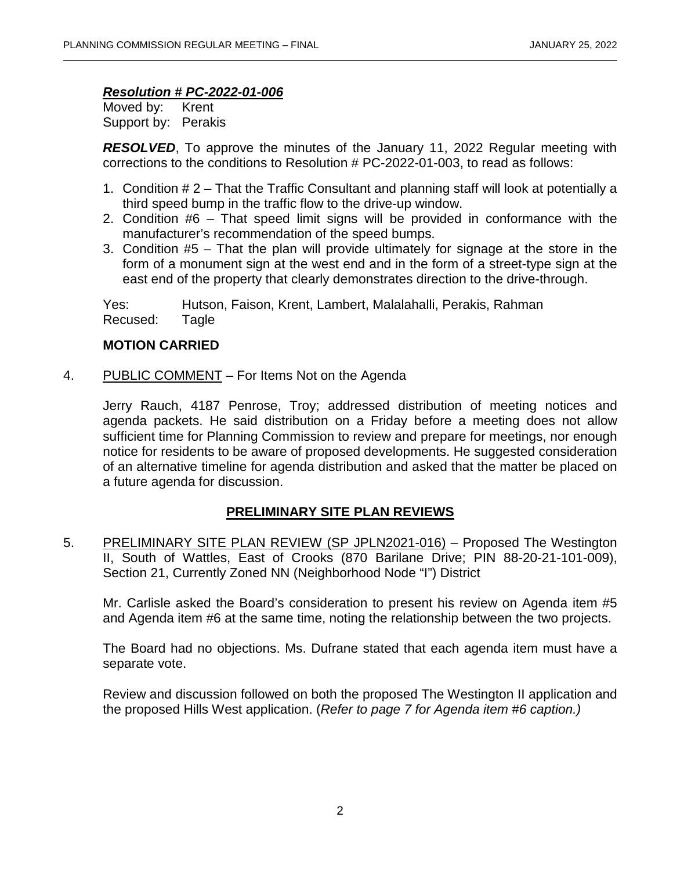#### *Resolution # PC-2022-01-006*

Moved by: Krent Support by: Perakis

*RESOLVED*, To approve the minutes of the January 11, 2022 Regular meeting with corrections to the conditions to Resolution # PC-2022-01-003, to read as follows:

- 1. Condition # 2 That the Traffic Consultant and planning staff will look at potentially a third speed bump in the traffic flow to the drive-up window.
- 2. Condition #6 That speed limit signs will be provided in conformance with the manufacturer's recommendation of the speed bumps.
- 3. Condition #5 That the plan will provide ultimately for signage at the store in the form of a monument sign at the west end and in the form of a street-type sign at the east end of the property that clearly demonstrates direction to the drive-through.

Yes: Hutson, Faison, Krent, Lambert, Malalahalli, Perakis, Rahman Recused: Tagle

## **MOTION CARRIED**

4. PUBLIC COMMENT – For Items Not on the Agenda

Jerry Rauch, 4187 Penrose, Troy; addressed distribution of meeting notices and agenda packets. He said distribution on a Friday before a meeting does not allow sufficient time for Planning Commission to review and prepare for meetings, nor enough notice for residents to be aware of proposed developments. He suggested consideration of an alternative timeline for agenda distribution and asked that the matter be placed on a future agenda for discussion.

## **PRELIMINARY SITE PLAN REVIEWS**

5. PRELIMINARY SITE PLAN REVIEW (SP JPLN2021-016) – Proposed The Westington II, South of Wattles, East of Crooks (870 Barilane Drive; PIN 88-20-21-101-009), Section 21, Currently Zoned NN (Neighborhood Node "I") District

Mr. Carlisle asked the Board's consideration to present his review on Agenda item #5 and Agenda item #6 at the same time, noting the relationship between the two projects.

The Board had no objections. Ms. Dufrane stated that each agenda item must have a separate vote.

Review and discussion followed on both the proposed The Westington II application and the proposed Hills West application. (*Refer to page 7 for Agenda item #6 caption.)*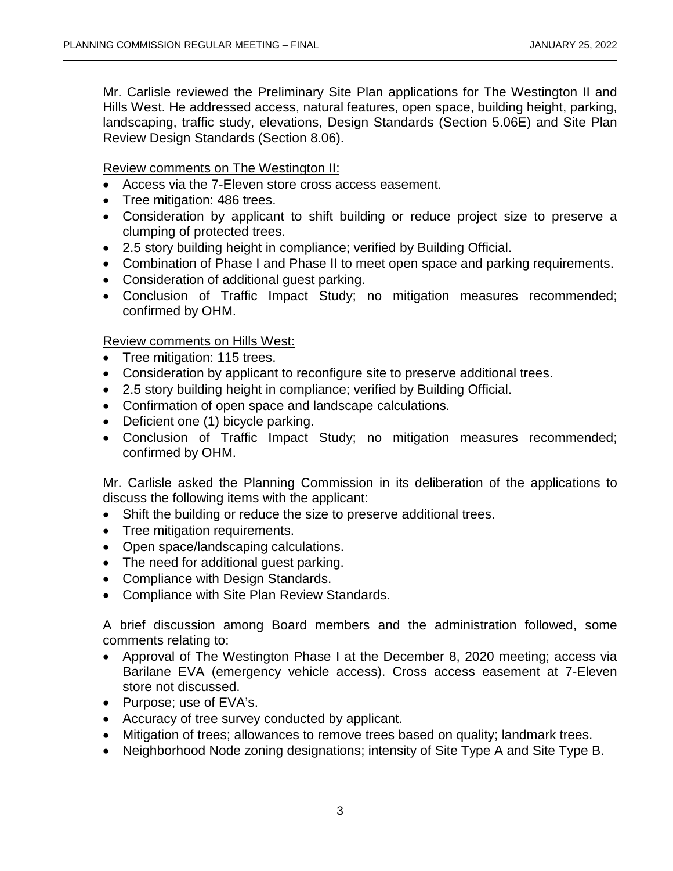Mr. Carlisle reviewed the Preliminary Site Plan applications for The Westington II and Hills West. He addressed access, natural features, open space, building height, parking, landscaping, traffic study, elevations, Design Standards (Section 5.06E) and Site Plan Review Design Standards (Section 8.06).

Review comments on The Westington II:

- Access via the 7-Eleven store cross access easement.
- Tree mitigation: 486 trees.
- Consideration by applicant to shift building or reduce project size to preserve a clumping of protected trees.
- 2.5 story building height in compliance; verified by Building Official.
- Combination of Phase I and Phase II to meet open space and parking requirements.
- Consideration of additional guest parking.
- Conclusion of Traffic Impact Study; no mitigation measures recommended; confirmed by OHM.

Review comments on Hills West:

- Tree mitigation: 115 trees.
- Consideration by applicant to reconfigure site to preserve additional trees.
- 2.5 story building height in compliance; verified by Building Official.
- Confirmation of open space and landscape calculations.
- Deficient one (1) bicycle parking.
- Conclusion of Traffic Impact Study; no mitigation measures recommended; confirmed by OHM.

Mr. Carlisle asked the Planning Commission in its deliberation of the applications to discuss the following items with the applicant:

- Shift the building or reduce the size to preserve additional trees.
- Tree mitigation requirements.
- Open space/landscaping calculations.
- The need for additional guest parking.
- Compliance with Design Standards.
- Compliance with Site Plan Review Standards.

A brief discussion among Board members and the administration followed, some comments relating to:

- Approval of The Westington Phase I at the December 8, 2020 meeting; access via Barilane EVA (emergency vehicle access). Cross access easement at 7-Eleven store not discussed.
- Purpose; use of EVA's.
- Accuracy of tree survey conducted by applicant.
- Mitigation of trees; allowances to remove trees based on quality; landmark trees.
- Neighborhood Node zoning designations; intensity of Site Type A and Site Type B.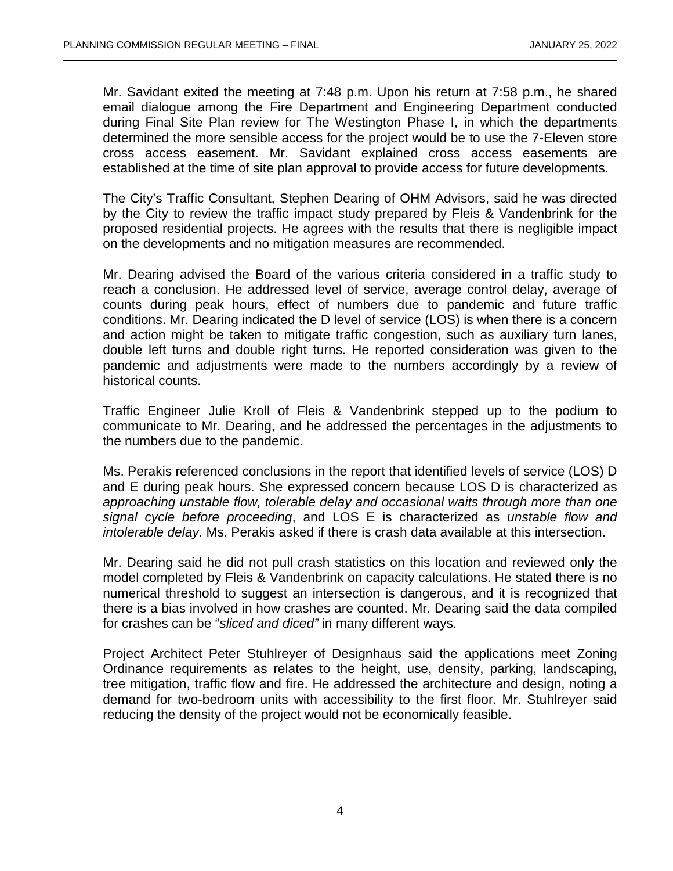Mr. Savidant exited the meeting at 7:48 p.m. Upon his return at 7:58 p.m., he shared email dialogue among the Fire Department and Engineering Department conducted during Final Site Plan review for The Westington Phase I, in which the departments determined the more sensible access for the project would be to use the 7-Eleven store cross access easement. Mr. Savidant explained cross access easements are established at the time of site plan approval to provide access for future developments.

The City's Traffic Consultant, Stephen Dearing of OHM Advisors, said he was directed by the City to review the traffic impact study prepared by Fleis & Vandenbrink for the proposed residential projects. He agrees with the results that there is negligible impact on the developments and no mitigation measures are recommended.

Mr. Dearing advised the Board of the various criteria considered in a traffic study to reach a conclusion. He addressed level of service, average control delay, average of counts during peak hours, effect of numbers due to pandemic and future traffic conditions. Mr. Dearing indicated the D level of service (LOS) is when there is a concern and action might be taken to mitigate traffic congestion, such as auxiliary turn lanes, double left turns and double right turns. He reported consideration was given to the pandemic and adjustments were made to the numbers accordingly by a review of historical counts.

Traffic Engineer Julie Kroll of Fleis & Vandenbrink stepped up to the podium to communicate to Mr. Dearing, and he addressed the percentages in the adjustments to the numbers due to the pandemic.

Ms. Perakis referenced conclusions in the report that identified levels of service (LOS) D and E during peak hours. She expressed concern because LOS D is characterized as *approaching unstable flow, tolerable delay and occasional waits through more than one signal cycle before proceeding*, and LOS E is characterized as *unstable flow and intolerable delay*. Ms. Perakis asked if there is crash data available at this intersection.

Mr. Dearing said he did not pull crash statistics on this location and reviewed only the model completed by Fleis & Vandenbrink on capacity calculations. He stated there is no numerical threshold to suggest an intersection is dangerous, and it is recognized that there is a bias involved in how crashes are counted. Mr. Dearing said the data compiled for crashes can be "*sliced and diced"* in many different ways.

Project Architect Peter Stuhlreyer of Designhaus said the applications meet Zoning Ordinance requirements as relates to the height, use, density, parking, landscaping, tree mitigation, traffic flow and fire. He addressed the architecture and design, noting a demand for two-bedroom units with accessibility to the first floor. Mr. Stuhlreyer said reducing the density of the project would not be economically feasible.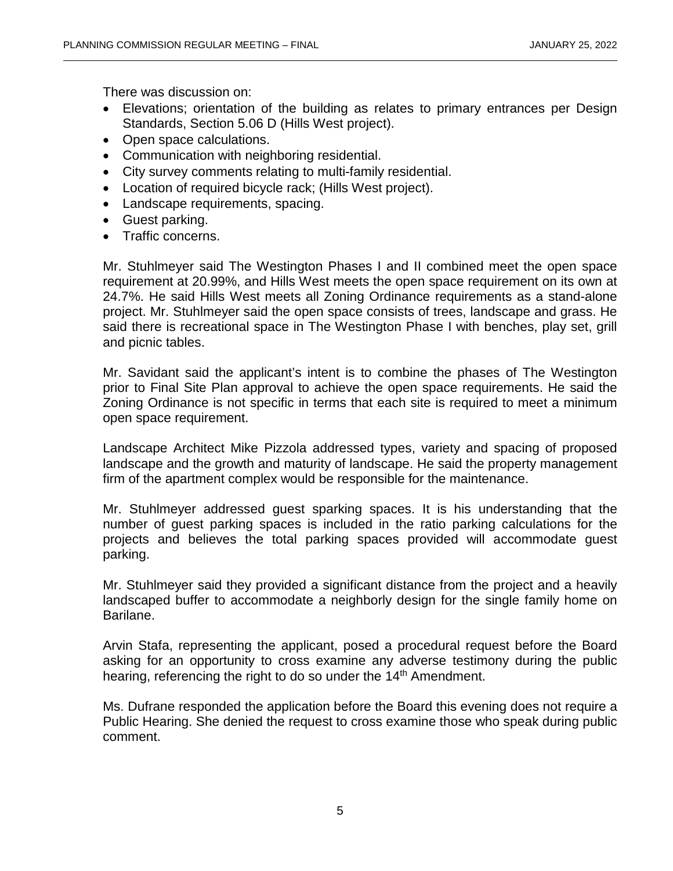There was discussion on:

- Elevations; orientation of the building as relates to primary entrances per Design Standards, Section 5.06 D (Hills West project).
- Open space calculations.
- Communication with neighboring residential.
- City survey comments relating to multi-family residential.
- Location of required bicycle rack; (Hills West project).
- Landscape requirements, spacing.
- Guest parking.
- Traffic concerns.

Mr. Stuhlmeyer said The Westington Phases I and II combined meet the open space requirement at 20.99%, and Hills West meets the open space requirement on its own at 24.7%. He said Hills West meets all Zoning Ordinance requirements as a stand-alone project. Mr. Stuhlmeyer said the open space consists of trees, landscape and grass. He said there is recreational space in The Westington Phase I with benches, play set, grill and picnic tables.

Mr. Savidant said the applicant's intent is to combine the phases of The Westington prior to Final Site Plan approval to achieve the open space requirements. He said the Zoning Ordinance is not specific in terms that each site is required to meet a minimum open space requirement.

Landscape Architect Mike Pizzola addressed types, variety and spacing of proposed landscape and the growth and maturity of landscape. He said the property management firm of the apartment complex would be responsible for the maintenance.

Mr. Stuhlmeyer addressed guest sparking spaces. It is his understanding that the number of guest parking spaces is included in the ratio parking calculations for the projects and believes the total parking spaces provided will accommodate guest parking.

Mr. Stuhlmeyer said they provided a significant distance from the project and a heavily landscaped buffer to accommodate a neighborly design for the single family home on Barilane.

Arvin Stafa, representing the applicant, posed a procedural request before the Board asking for an opportunity to cross examine any adverse testimony during the public hearing, referencing the right to do so under the 14<sup>th</sup> Amendment.

Ms. Dufrane responded the application before the Board this evening does not require a Public Hearing. She denied the request to cross examine those who speak during public comment.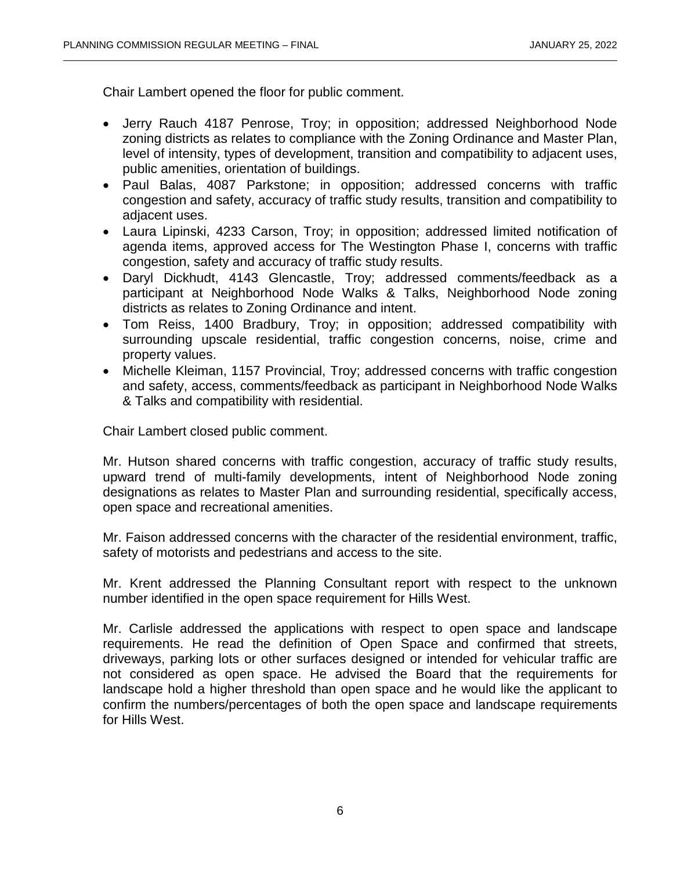Chair Lambert opened the floor for public comment.

- Jerry Rauch 4187 Penrose, Troy; in opposition; addressed Neighborhood Node zoning districts as relates to compliance with the Zoning Ordinance and Master Plan, level of intensity, types of development, transition and compatibility to adjacent uses, public amenities, orientation of buildings.
- Paul Balas, 4087 Parkstone; in opposition; addressed concerns with traffic congestion and safety, accuracy of traffic study results, transition and compatibility to adjacent uses.
- Laura Lipinski, 4233 Carson, Troy; in opposition; addressed limited notification of agenda items, approved access for The Westington Phase I, concerns with traffic congestion, safety and accuracy of traffic study results.
- Daryl Dickhudt, 4143 Glencastle, Troy; addressed comments/feedback as a participant at Neighborhood Node Walks & Talks, Neighborhood Node zoning districts as relates to Zoning Ordinance and intent.
- Tom Reiss, 1400 Bradbury, Troy; in opposition; addressed compatibility with surrounding upscale residential, traffic congestion concerns, noise, crime and property values.
- Michelle Kleiman, 1157 Provincial, Troy; addressed concerns with traffic congestion and safety, access, comments/feedback as participant in Neighborhood Node Walks & Talks and compatibility with residential.

Chair Lambert closed public comment.

Mr. Hutson shared concerns with traffic congestion, accuracy of traffic study results, upward trend of multi-family developments, intent of Neighborhood Node zoning designations as relates to Master Plan and surrounding residential, specifically access, open space and recreational amenities.

Mr. Faison addressed concerns with the character of the residential environment, traffic, safety of motorists and pedestrians and access to the site.

Mr. Krent addressed the Planning Consultant report with respect to the unknown number identified in the open space requirement for Hills West.

Mr. Carlisle addressed the applications with respect to open space and landscape requirements. He read the definition of Open Space and confirmed that streets, driveways, parking lots or other surfaces designed or intended for vehicular traffic are not considered as open space. He advised the Board that the requirements for landscape hold a higher threshold than open space and he would like the applicant to confirm the numbers/percentages of both the open space and landscape requirements for Hills West.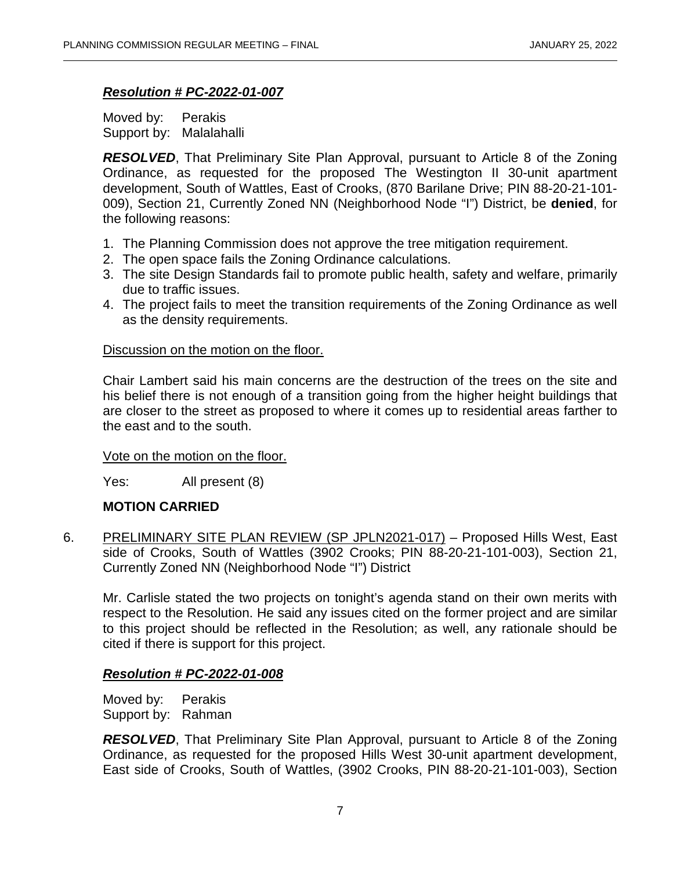#### *Resolution # PC-2022-01-007*

Moved by: Perakis Support by: Malalahalli

*RESOLVED*, That Preliminary Site Plan Approval, pursuant to Article 8 of the Zoning Ordinance, as requested for the proposed The Westington II 30-unit apartment development, South of Wattles, East of Crooks, (870 Barilane Drive; PIN 88-20-21-101- 009), Section 21, Currently Zoned NN (Neighborhood Node "I") District, be **denied**, for the following reasons:

- 1. The Planning Commission does not approve the tree mitigation requirement.
- 2. The open space fails the Zoning Ordinance calculations.
- 3. The site Design Standards fail to promote public health, safety and welfare, primarily due to traffic issues.
- 4. The project fails to meet the transition requirements of the Zoning Ordinance as well as the density requirements.

#### Discussion on the motion on the floor.

Chair Lambert said his main concerns are the destruction of the trees on the site and his belief there is not enough of a transition going from the higher height buildings that are closer to the street as proposed to where it comes up to residential areas farther to the east and to the south.

#### Vote on the motion on the floor.

Yes: All present (8)

## **MOTION CARRIED**

6. PRELIMINARY SITE PLAN REVIEW (SP JPLN2021-017) – Proposed Hills West, East side of Crooks, South of Wattles (3902 Crooks; PIN 88-20-21-101-003), Section 21, Currently Zoned NN (Neighborhood Node "I") District

Mr. Carlisle stated the two projects on tonight's agenda stand on their own merits with respect to the Resolution. He said any issues cited on the former project and are similar to this project should be reflected in the Resolution; as well, any rationale should be cited if there is support for this project.

## *Resolution # PC-2022-01-008*

Moved by: Perakis Support by: Rahman

*RESOLVED*, That Preliminary Site Plan Approval, pursuant to Article 8 of the Zoning Ordinance, as requested for the proposed Hills West 30-unit apartment development, East side of Crooks, South of Wattles, (3902 Crooks, PIN 88-20-21-101-003), Section